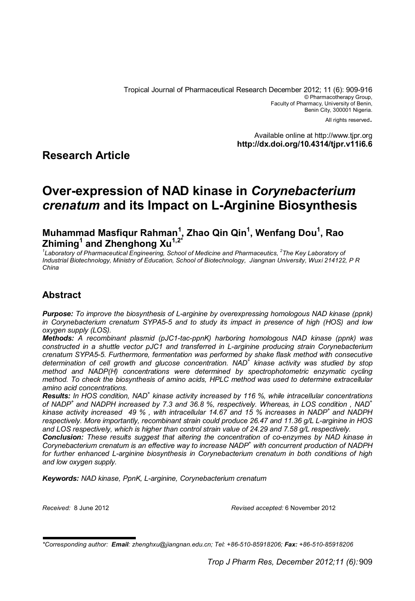Tropical Journal of Pharmaceutical Research December 2012; 11 (6): 909-916 © Pharmacotherapy Group, Faculty of Pharmacy, University of Benin, Benin City, 300001 Nigeria.

All rights reserved.

Available online at http://www.tjpr.org **http://dx.doi.org/10.4314/tjpr.v11i6.6**

### **Research Article**

# **Over-expression of NAD kinase in** *Corynebacterium crenatum* **and its Impact on L-Arginine Biosynthesis**

**Muhammad Masfiqur Rahman<sup>1</sup> , Zhao Qin Qin<sup>1</sup> , Wenfang Dou<sup>1</sup> , Rao Zhiming<sup>1</sup> and Zhenghong Xu1,2\***

<sup>1</sup>Laboratory of Pharmaceutical Engineering, School of Medicine and Pharmaceutics, <sup>2</sup>The Key Laboratory of *Industrial Biotechnology, Ministry of Education, School of Biotechnology, Jiangnan University, Wuxi 214122, P R China*

### **Abstract**

*Purpose: To improve the biosynthesis of L-arginine by overexpressing homologous NAD kinase (ppnk) in Corynebacterium crenatum SYPA5-5 and to study its impact in presence of high (HOS) and low oxygen supply (LOS).*

*Methods: A recombinant plasmid (pJC1-tac-ppnK) harboring homologous NAD kinase (ppnk) was constructed in a shuttle vector pJC1 and transferred in L-arginine producing strain Corynebacterium crenatum SYPA5-5. Furthermore, fermentation was performed by shake flask method with consecutive determination of cell growth and glucose concentration. NAD + kinase activity was studied by stop method and NADP(H) concentrations were determined by spectrophotometric enzymatic cycling method. To check the biosynthesis of amino acids, HPLC method was used to determine extracellular amino acid concentrations.* 

Results: In HOS condition, NAD<sup>+</sup> kinase activity increased by 116 %, while intracellular concentrations *of NADP<sup>+</sup>and NADPH increased by 7.3 and 36.8 %, respectively. Whereas, in LOS condition , NAD<sup>+</sup> kinase activity increased 49 % , with intracellular 14.67 and 15 % increases in NADP<sup>+</sup>and NADPH respectively. More importantly, recombinant strain could produce 26.47 and 11.36 g/L L-arginine in HOS and LOS respectively, which is higher than control strain value of 24.29 and 7.58 g/L respectively.* 

*Conclusion: These results suggest that altering the concentration of co-enzymes by NAD kinase in Corynebacterium crenatum is an effective way to increase NADP<sup>+</sup> with concurrent production of NADPH for further enhanced L-arginine biosynthesis in Corynebacterium crenatum in both conditions of high and low oxygen supply.*

*Keywords: NAD kinase, PpnK, L-arginine, Corynebacterium crenatum*

*Received:* 8 June 2012 *Revised accepted:* 6 November 2012

*<sup>\*</sup>Corresponding author: Email: zhenghxu@jiangnan.edu.cn; Tel: +86-510-85918206; Fax: +86-510-85918206*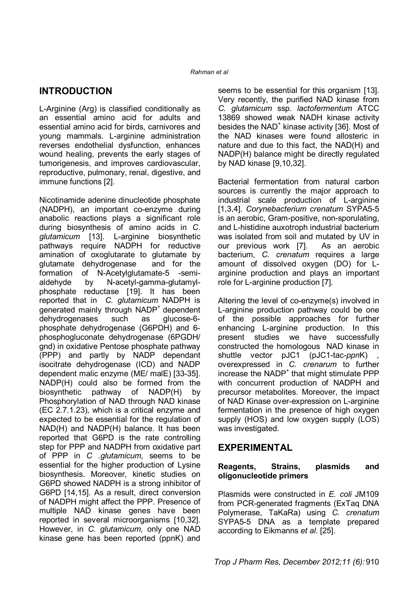#### *Rahman et al*

## **INTRODUCTION**

L-Arginine (Arg) is classified conditionally as an essential amino acid for adults and essential amino acid for birds, carnivores and young mammals. L-arginine administration reverses endothelial dysfunction, enhances wound healing, prevents the early stages of tumorigenesis, and improves cardiovascular, reproductive, pulmonary, renal, digestive, and immune functions [2].

Nicotinamide adenine dinucleotide phosphate (NADPH), an important co-enzyme during anabolic reactions plays a significant role during biosynthesis of amino acids in *C. glutamicum* [13]. L-arginine biosynthetic pathways require NADPH for reductive amination of oxoglutarate to glutamate by glutamate dehydrogenase and for the formation of N-Acetylglutamate-5 -semialdehyde by N-acetyl-gamma-glutamylphosphate reductase [19]. It has been reported that in *C. glutamicum* NADPH is generated mainly through NADP<sup>+</sup> dependent dehydrogenases such as glucose-6 phosphate dehydrogenase (G6PDH) and 6 phosphogluconate dehydrogenase (6PGDH/ gnd) in oxidative Pentose phosphate pathway (PPP) and partly by NADP dependant isocitrate dehydrogenase (ICD) and NADP dependent malic enzyme (ME/ malE) [33-35]. NADP(H) could also be formed from the biosynthetic pathway of NADP(H) by Phosphorylation of NAD through NAD kinase (EC 2.7.1.23), which is a critical enzyme and expected to be essential for the regulation of NAD(H) and NADP(H) balance. It has been reported that G6PD is the rate controlling step for PPP and NADPH from oxidative part of PPP in *C .glutamicum*, seems to be essential for the higher production of Lysine biosynthesis. Moreover, kinetic studies on G6PD showed NADPH is a strong inhibitor of G6PD [14,15]. As a result, direct conversion of NADPH might affect the PPP. Presence of multiple NAD kinase genes have been reported in several microorganisms [10,32]. However, in *C. glutamicum*, only one NAD kinase gene has been reported (ppnK) and seems to be essential for this organism [13]. Very recently, the purified NAD kinase from *C. glutamicum* ssp. *lactofermentum* ATCC 13869 showed weak NADH kinase activity besides the NAD<sup>+</sup> kinase activity [36]. Most of the NAD kinases were found allosteric in nature and due to this fact, the NAD(H) and NADP(H) balance might be directly regulated by NAD kinase [9,10,32].

Bacterial fermentation from natural carbon sources is currently the major approach to industrial scale production of L-arginine [1,3,4]. *Corynebacterium crenatum* SYPA5-5 is an aerobic, Gram-positive, non-sporulating, and L-histidine auxotroph industrial bacterium was isolated from soil and mutated by UV in our previous work [7]. As an aerobic bacterium, *C. crenatum* requires a large amount of dissolved oxygen (DO) for Larginine production and plays an important role for L-arginine production [7].

Altering the level of co-enzyme(s) involved in L-arginine production pathway could be one of the possible approaches for further enhancing L-arginine production. In this present studies we have successfully constructed the homologous NAD kinase in<br>shuttle vector pJC1 (pJC1-tac-ppnK), shuttle vector pJC1 overexpressed in *C. crenarum* to further increase the  $NADP<sup>+</sup>$  that might stimulate PPP with concurrent production of NADPH and precursor metabolites. Moreover, the impact of NAD Kinase over-expression on L-arginine fermentation in the presence of high oxygen supply (HOS) and low oxygen supply (LOS) was investigated.

### **EXPERIMENTAL**

#### **Reagents, Strains, plasmids and oligonucleotide primers**

Plasmids were constructed in *E. coli* JM109 from PCR-generated fragments (ExTaq DNA Polymerase, TaKaRa) using *C. crenatum*  SYPA5-5 DNA as a template prepared according to Eikmanns *et al*. [25].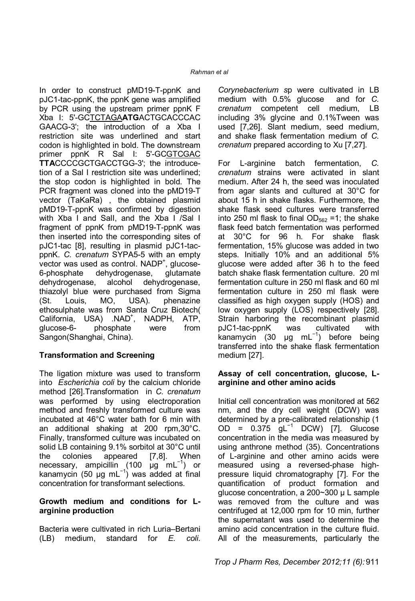In order to construct pMD19-T-ppnK and pJC1-tac-ppnK, the ppnK gene was amplified by PCR using the upstream primer ppnK F Xba I: 5'-GCTCTAGA**ATG**ACTGCACCCAC GAACG-3'; the introduction of a Xba I restriction site was underlined and start codon is highlighted in bold. The downstream primer ppnK R Sal I: 5'-GCGTCGAC **TTA**CCCCGCTGACCTGG-3'; the introducetion of a Sal I restriction site was underlined; the stop codon is highlighted in bold. The PCR fragment was cloned into the pMD19-T vector (TaKaRa) , the obtained plasmid pMD19-T-ppnK was confirmed by digestion with Xba I and Sall, and the Xba I /Sal I fragment of ppnK from pMD19-T-ppnK was then inserted into the corresponding sites of pJC1-tac [8], resulting in plasmid pJC1-tacppnK. *C. crenatum* SYPA5-5 with an empty vector was used as control. NADP<sup>+</sup>, glucose-6-phosphate dehydrogenase, glutamate dehydrogenase, alcohol dehydrogenase, thiazolyl blue were purchased from Sigma<br>(St. Louis, MO, USA). phenazine (St. Louis, MO, USA). phenazine ethosulphate was from Santa Cruz Biotech( California, USA) .NAD<sup>+</sup>, NADPH, ATP, glucose-6- phosphate were from Sangon(Shanghai, China).

### **Transformation and Screening**

The ligation mixture was used to transform into *Escherichia coli* by the calcium chloride method [26].Transformation in *C. crenatum* was performed by using electroporation method and freshly transformed culture was incubated at 46°C water bath for 6 min with an additional shaking at 200 rpm,30°C. Finally, transformed culture was incubated on solid LB containing 9.1% sorbitol at 30°C until the colonies appeared [7,8]. When necessary, ampicillin (100 μg mL<sup>-1</sup>) or kanamycin (50 µg mL<sup>-1</sup>) was added at final concentration for transformant selections.

#### **Growth medium and conditions for Larginine production**

Bacteria were cultivated in rich Luria–Bertani (LB) medium, standard for *E. coli*.

*Corynebacterium s*p were cultivated in LB medium with 0.5% glucose and for *C. crenatum* competent cell medium, LB including 3% glycine and 0.1%Tween was used [7,26]. Slant medium, seed medium, and shake flask fermentation medium of *C. crenatum* prepared according to Xu [7,27].

For L-arginine batch fermentation, *C. crenatum* strains were activated in slant medium. After 24 h, the seed was inoculated from agar slants and cultured at 30°C for about 15 h in shake flasks. Furthermore, the shake flask seed cultures were transferred into 250 ml flask to final  $OD_{562} = 1$ ; the shake flask feed batch fermentation was performed at 30°C for 96 h. For shake flask fermentation, 15% glucose was added in two steps. Initially 10% and an additional 5% glucose were added after 36 h to the feed batch shake flask fermentation culture. 20 ml fermentation culture in 250 ml flask and 60 ml fermentation culture in 250 ml flask were classified as high oxygen supply (HOS) and low oxygen supply (LOS) respectively [28]. Strain harboring the recombinant plasmid pJC1-tac-ppnK was cultivated with kanamycin (30 μg mL<sup>-1</sup>) before being transferred into the shake flask fermentation medium [27].

#### **Assay of cell concentration, glucose, Larginine and other amino acids**

Initial cell concentration was monitored at 562 nm, and the dry cell weight (DCW) was determined by a pre-calibrated relationship (1 OD = 0.375 gL<sup>−</sup><sup>1</sup> DCW) [7]. Glucose concentration in the media was measured by using anthrone method (35). Concentrations of L-arginine and other amino acids were measured using a reversed-phase highpressure liquid chromatography [7]. For the quantification of product formation and glucose concentration, a 200~300 µ L sample was removed from the culture and was centrifuged at 12,000 rpm for 10 min, further the supernatant was used to determine the amino acid concentration in the culture fluid. All of the measurements, particularly the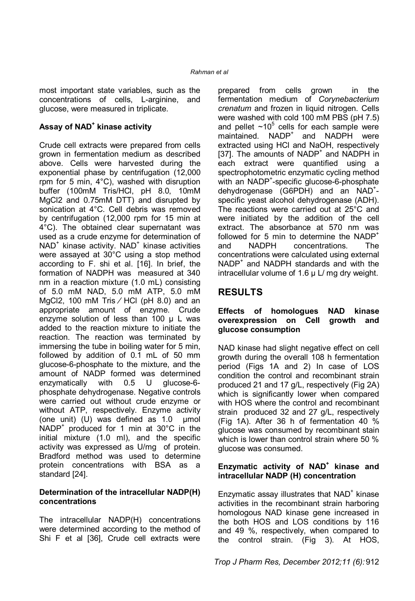most important state variables, such as the concentrations of cells, L-arginine, and glucose, were measured in triplicate.

### **Assay of NAD<sup>+</sup> kinase activity**

Crude cell extracts were prepared from cells grown in fermentation medium as described above. Cells were harvested during the exponential phase by centrifugation (12,000 rpm for 5 min, 4°C), washed with disruption buffer (100mM Tris/HCl, pH 8.0, 10mM MgCl2 and 0.75mM DTT) and disrupted by sonication at 4°C. Cell debris was removed by centrifugation (12,000 rpm for 15 min at 4°C). The obtained clear supernatant was used as a crude enzyme for determination of NAD<sup>+</sup> kinase activity. NAD<sup>+</sup> kinase activities were assayed at 30°C using a stop method according to F. shi et al. [16]. In brief, the formation of NADPH was measured at 340 nm in a reaction mixture (1.0 mL) consisting of 5.0 mM NAD, 5.0 mM ATP, 5.0 mM MgCl2, 100 mM Tris  $/$  HCl (pH 8.0) and an appropriate amount of enzyme. Crude enzyme solution of less than 100 µ L was added to the reaction mixture to initiate the reaction. The reaction was terminated by immersing the tube in boiling water for 5 min, followed by addition of 0.1 mL of 50 mm glucose-6-phosphate to the mixture, and the amount of NADP formed was determined enzymatically with 0.5 U glucose-6 phosphate dehydrogenase. Negative controls were carried out without crude enzyme or without ATP, respectively. Enzyme activity (one unit) (U) was defined as  $1.0 \text{ }$  µmol NADP<sup>+</sup> produced for 1 min at 30°C in the initial mixture (1.0 ml), and the specific activity was expressed as U/mg of protein. Bradford method was used to determine protein concentrations with BSA as a standard [24].

#### **Determination of the intracellular NADP(H) concentrations**

The intracellular NADP(H) concentrations were determined according to the method of Shi F et al [36], Crude cell extracts were

prepared from cells grown in the fermentation medium of *Corynebacterium crenatum* and frozen in liquid nitrogen. Cells were washed with cold 100 mM PBS (pH 7.5) and pellet  $~10^5$  cells for each sample were maintained. NADP<sup>+</sup> and NADPH were extracted using HCl and NaOH, respectively [37]. The amounts of NADP<sup>+</sup> and NADPH in each extract were quantified using a spectrophotometric enzymatic cycling method with an NADP<sup>+</sup>-specific glucose-6-phosphate dehydrogenase (G6PDH) and an NAD<sup>+</sup>specific yeast alcohol dehydrogenase (ADH). The reactions were carried out at 25°C and were initiated by the addition of the cell extract. The absorbance at 570 nm was followed for 5 min to determine the NADP<sup>+</sup> and NADPH concentrations. The concentrations were calculated using external NADP<sup>+</sup> and NADPH standards and with the intracellular volume of  $1.6 \mu$  L/ mg dry weight.

# **RESULTS**

#### **Effects of homologues NAD kinase overexpression on Cell growth and glucose consumption**

NAD kinase had slight negative effect on cell growth during the overall 108 h fermentation period (Figs 1A and 2) In case of LOS condition the control and recombinant strain produced 21 and 17 g/L, respectively (Fig 2A) which is significantly lower when compared with HOS where the control and recombinant strain produced 32 and 27 g/L, respectively (Fig 1A). After 36 h of fermentation 40 % glucose was consumed by recombinant stain which is lower than control strain where 50 % glucose was consumed.

#### **Enzymatic activity of NAD<sup>+</sup> kinase and intracellular NADP (H) concentration**

Enzymatic assay illustrates that  $NAD<sup>+</sup>$  kinase activities in the recombinant strain harboring homologous NAD kinase gene increased in the both HOS and LOS conditions by 116 and 49 %, respectively, when compared to the control strain. (Fig 3). At HOS,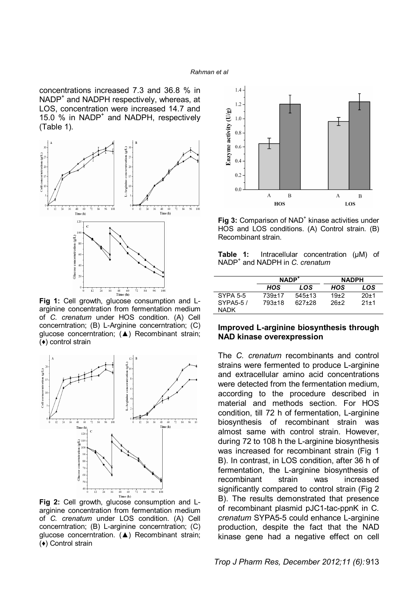#### *Rahman et al*

concentrations increased 7.3 and 36.8 % in NADP<sup>+</sup> and NADPH respectively, whereas, at LOS, concentration were increased 14.7 and 15.0 % in NADP<sup>+</sup> and NADPH, respectively (Table 1).



**Fig 1:** Cell growth, glucose consumption and Larginine concentration from fermentation medium of *C. crenatum* under HOS condition. (A) Cell concerntration; (B) L-Arginine concerntration; (C) glucose concerntration; (▲) Recombinant strain; (♦) control strain



**Fig 2:** Cell growth, glucose consumption and Larginine concentration from fermentation medium of *C. crenatum* under LOS condition. (A) Cell concerntration; (B) L-arginine concerntration; (C) glucose concerntration. (▲) Recombinant strain; (♦) Control strain



Fig 3: Comparison of NAD<sup>+</sup> kinase activities under HOS and LOS conditions. (A) Control strain. (B) Recombinant strain.

**Table 1:** Intracellular concentration (μM) of NADP<sup>+</sup> and NADPH in *C. crenatum*

|                 | NADP <sup>+</sup> |              | <b>NADPH</b> |        |
|-----------------|-------------------|--------------|--------------|--------|
|                 | HOS               | LOS          | HOS          | LOS    |
| <b>SYPA 5-5</b> | 739+17            | $545 \pm 13$ | $19+2$       | $20+1$ |
| SYPA5-5/        | 793+18            | 627+28       | 26+2         | $21+1$ |
| <b>NADK</b>     |                   |              |              |        |

#### **Improved L-arginine biosynthesis through NAD kinase overexpression**

The *C. crenatum* recombinants and control strains were fermented to produce L-arginine and extracellular amino acid concentrations were detected from the fermentation medium, according to the procedure described in material and methods section. For HOS condition, till 72 h of fermentation, L-arginine biosynthesis of recombinant strain was almost same with control strain. However, during 72 to 108 h the L-arginine biosynthesis was increased for recombinant strain (Fig 1 B). In contrast, in LOS condition, after 36 h of fermentation, the L-arginine biosynthesis of recombinant strain was increased significantly compared to control strain (Fig 2 B). The results demonstrated that presence of recombinant plasmid pJC1-tac-ppnK in C*. crenatum* SYPA5-5 could enhance L-arginine production, despite the fact that the NAD kinase gene had a negative effect on cell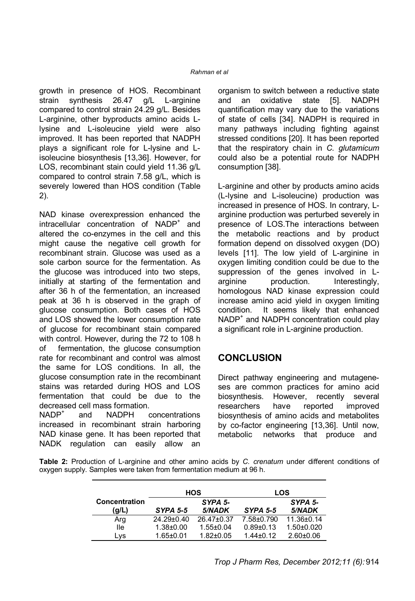growth in presence of HOS. Recombinant strain synthesis 26.47 g/L L-arginine compared to control strain 24.29 g/L. Besides L-arginine, other byproducts amino acids Llysine and L-isoleucine yield were also improved. It has been reported that NADPH plays a significant role for L-lysine and Lisoleucine biosynthesis [13,36]. However, for LOS, recombinant stain could yield 11.36 g/L compared to control strain 7.58 g/L, which is severely lowered than HOS condition (Table 2).

NAD kinase overexpression enhanced the intracellular concentration of NADP<sup>+</sup> and altered the co-enzymes in the cell and this might cause the negative cell growth for recombinant strain. Glucose was used as a sole carbon source for the fermentation. As the glucose was introduced into two steps, initially at starting of the fermentation and after 36 h of the fermentation, an increased peak at 36 h is observed in the graph of glucose consumption. Both cases of HOS and LOS showed the lower consumption rate of glucose for recombinant stain compared with control. However, during the 72 to 108 h of fermentation, the glucose consumption rate for recombinant and control was almost the same for LOS conditions. In all, the glucose consumption rate in the recombinant stains was retarded during HOS and LOS fermentation that could be due to the decreased cell mass formation.

NADP<sup>+</sup> and NADPH concentrations increased in recombinant strain harboring NAD kinase gene. It has been reported that NADK regulation can easily allow an

organism to switch between a reductive state and an oxidative state [5]. NADPH quantification may vary due to the variations of state of cells [34]. NADPH is required in many pathways including fighting against stressed conditions [20]. It has been reported that the respiratory chain in *C. glutamicum*  could also be a potential route for NADPH consumption [38].

L-arginine and other by products amino acids (L-lysine and L-isoleucine) production was increased in presence of HOS. In contrary, Larginine production was perturbed severely in presence of LOS.The interactions between the metabolic reactions and by product formation depend on dissolved oxygen (DO) levels [11]. The low yield of L-arginine in oxygen limiting condition could be due to the suppression of the genes involved in Larginine production. Interestingly, homologous NAD kinase expression could increase amino acid yield in oxygen limiting condition. It seems likely that enhanced NADP<sup>+</sup> and NADPH concentration could play a significant role in L-arginine production.

### **CONCLUSION**

Direct pathway engineering and mutageneses are common practices for amino acid biosynthesis. However, recently several researchers have reported improved biosynthesis of amino acids and metabolites by co-factor engineering [13,36]. Until now, metabolic networks that produce and

**Table 2:** Production of L-arginine and other amino acids by *C. crenatum* under different conditions of oxygen supply. Samples were taken from fermentation medium at 96 h.

|                      | <b>HOS</b>      |                 | <b>LOS</b>      |                |
|----------------------|-----------------|-----------------|-----------------|----------------|
| <b>Concentration</b> |                 | SYPA 5-         |                 | SYPA 5-        |
| (g/L)                | $SYPA 5-5$      | 5/NADK          | $SYPA 5-5$      | 5/NADK         |
| Arg                  | 24.29±0.40      | 26.47±0.37      | 7.58±0.790      | 11.36±0.14     |
| lle                  | $1.38 + 0.00$   | $1.55 \pm 0.04$ | $0.89 + 0.13$   | $1.50 + 0.020$ |
| Lvs                  | $1.65 \pm 0.01$ | $1.82 \pm 0.05$ | $1.44 \pm 0.12$ | $2.60 + 0.06$  |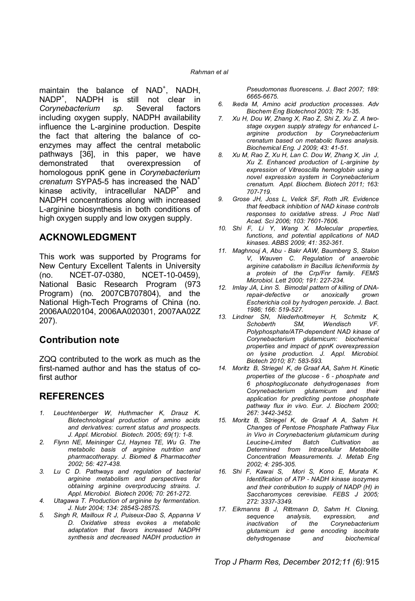maintain the balance of NAD<sup>+</sup>, NADH, NADP<sup>+</sup> , NADPH is still not clear in *Corynebacterium sp*. Several factors including oxygen supply, NADPH availability influence the L-arginine production. Despite the fact that altering the balance of coenzymes may affect the central metabolic pathways [36], in this paper, we have demonstrated that overexpression of homologous ppnK gene in *Corynebacterium crenatum* SYPA5-5 has increased the NAD<sup>+</sup> kinase activity, intracellular  $NADP<sup>+</sup>$  and NADPH concentrations along with increased L-arginine biosynthesis in both conditions of high oxygen supply and low oxygen supply.

### **ACKNOWLEDGMENT**

This work was supported by Programs for New Century Excellent Talents in University (no. NCET-07-0380, NCET-10-0459), National Basic Research Program (973 Program) (no. 2007CB707804), and the National High-Tech Programs of China (no. 2006AA020104, 2006AA020301, 2007AA02Z 207).

### **Contribution note**

ZQQ contributed to the work as much as the first-named author and has the status of cofirst author

### **REFERENCES**

- *1. Leuchtenberger W, Huthmacher K, Drauz K. Biotechnological production of amino acids and derivatives: current status and prospects. J. Appl. Microbiol. Biotech. 2005; 69(1): 1-8.*
- *2. Flynn NE, Meininger CJ, Haynes TE, Wu G. The metabolic basis of arginine nutrition and pharmacotherapy. J. Biomed & Pharmacother 2002; 56: 427-438.*
- *3. Lu C D. Pathways and regulation of bacterial arginine metabolism and perspectives for obtaining arginine overproducing strains. J. Appl. Microbiol. Biotech 2006; 70: 261-272.*
- *4. Utagawa T. Production of arginine by fermentation. J. Nutr 2004; 134: 2854S-2857S.*
- *5. Singh R, Mailloux R J, Puiseux-Dao S, Appanna V D. Oxidative stress evokes a metabolic adaptation that favors increased NADPH synthesis and decreased NADH production in*

*Pseudomonas fluorescens. J. Bact 2007; 189: 6665-6675.*

- *6. Ikeda M, Amino acid production processes. Adv Biochem Eng Biotechnol 2003; 79: 1-35.*
- *7. Xu H, Dou W, Zhang X, Rao Z, Shi Z, Xu Z. A twostage oxygen supply strategy for enhanced Larginine production by Corynebacterium crenatum based on metabolic fluxes analysis. Biochemical Eng. J 2009; 43: 41-51.*
- *8. Xu M, Rao Z, Xu H, Lan C. Dou W, Zhang X, Jin J, Xu Z. Enhanced production of L-arginine by expression of Vitreoscilla hemoglobin using a novel expression system in Corynebacterium crenatum. Appl. Biochem. Biotech 2011; 163: 707-719.*
- *9. Grose JH, Joss L, Velick SF, Roth JR. Evidence that feedback inhibition of NAD kinase controls responses to oxidative stress. J Proc Natl Acad. Sci 2006; 103: 7601-7606.*
- *10. Shi F, Li Y, Wang X. Molecular properties, functions, and potential applications of NAD kinases. ABBS 2009; 41: 352-361.*
- *11. Maghnouj A, Abu‐Bakr AAW, Baumberg S, Stalon V, Wauven C. Regulation of anaerobic arginine catabolism in Bacillus licheniformis by a protein of the Crp/Fnr family. FEMS Microbiol. Lett 2000; 191: 227-234.*
- *12. Imlay JA, Linn S. Bimodal pattern of killing of DNArepair-defective or anoxically Escherichia coli by hydrogen peroxide. J. Bact. 1986; 166: 519-527.*
- *13. Lindner SN, Niederholtmeyer H, Schmitz K, Schoberth SM, Wendisch VF. Polyphosphate/ATP-dependent NAD kinase of Corynebacterium glutamicum: biochemical properties and impact of ppnK overexpression on lysine production. J. Appl. Microbiol. Biotech 2010; 87: 583-593.*
- *14. Moritz B, Striegel K, de Graaf AA, Sahm H. Kinetic properties of the glucose‐6‐phosphate and 6 phosphogluconate dehydrogenases from Corynebacterium glutamicum and their application for predicting pentose phosphate pathway flux in vivo. Eur. J. Biochem 2000; 267: 3442-3452.*
- *15. Moritz B, Striegel K, de Graaf A A, Sahm H. Changes of Pentose Phosphate Pathway Flux in Vivo in Corynebacterium glutamicum during Leucine-Limited Batch Cultivation as Determined from Intracellular Metabolite Concentration Measurements. J. Metab Eng 2002; 4: 295-305.*
- *16. Shi F, Kawai S, Mori S, Kono E, Murata K. Identification of ATP‐NADH kinase isozymes and their contribution to supply of NADP (H) in Saccharomyces cerevisiae. FEBS J 2005; 272: 3337-3349.*
- *17. Eikmanns B J, Rittmann D, Sahm H. Cloning, sequence analysis, expression, and inactivation of the Corynebacterium glutamicum icd gene encoding isocitrate dehydrogenase and biochemical*